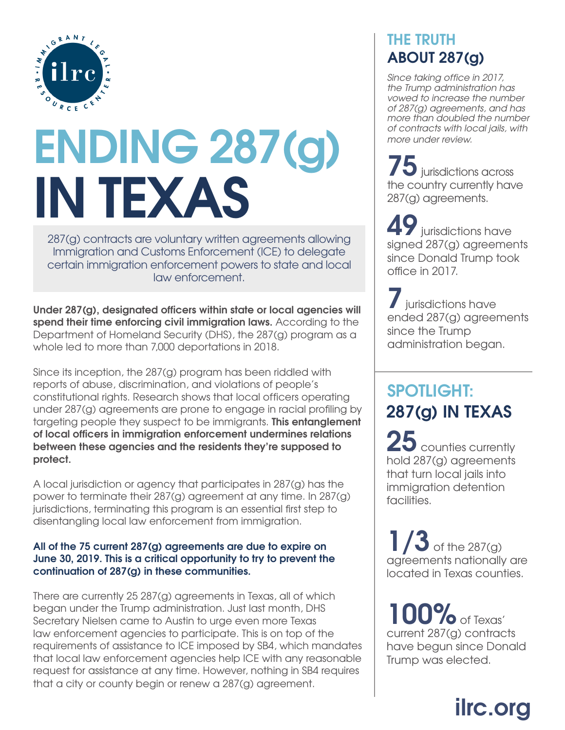

# **ENDING 287(g) IN TEXAS**

287(g) contracts are voluntary written agreements allowing Immigration and Customs Enforcement (ICE) to delegate certain immigration enforcement powers to state and local law enforcement.

**Under 287(g), designated officers within state or local agencies will spend their time enforcing civil immigration laws.** According to the Department of Homeland Security (DHS), the 287(g) program as a whole led to more than 7,000 deportations in 2018.

Since its inception, the 287(g) program has been riddled with reports of abuse, discrimination, and violations of people's constitutional rights. Research shows that local officers operating under 287(g) agreements are prone to engage in racial profiling by targeting people they suspect to be immigrants. **This entanglement of local officers in immigration enforcement undermines relations between these agencies and the residents they're supposed to protect.**

A local jurisdiction or agency that participates in 287(g) has the power to terminate their 287(g) agreement at any time. In 287(g) jurisdictions, terminating this program is an essential first step to disentangling local law enforcement from immigration.

#### **All of the 75 current 287(g) agreements are due to expire on June 30, 2019. This is a critical opportunity to try to prevent the continuation of 287(g) in these communities.**

There are currently 25 287(g) agreements in Texas, all of which began under the Trump administration. Just last month, DHS Secretary Nielsen came to Austin to urge even more Texas law enforcement agencies to participate. This is on top of the requirements of assistance to ICE imposed by SB4, which mandates that local law enforcement agencies help ICE with any reasonable request for assistance at any time. However, nothing in SB4 requires that a city or county begin or renew a 287(g) agreement.

#### **THE TRUTH ABOUT 287(g)**

*Since taking office in 2017, the Trump administration has vowed to increase the number of 287(g) agreements, and has more than doubled the number of contracts with local jails, with more under review.*

**75**jurisdictions across the country currently have 287(g) agreements.

**49** jurisdictions have signed 287(g) agreements since Donald Trump took office in 2017.

**7** jurisdictions have ended 287(g) agreements since the Trump administration began.

### **287(g) IN TEXAS SPOTLIGHT:**

25 counties currently hold 287(g) agreements that turn local jails into immigration detention facilities.

**1** of the 287(g) agreements nationally are located in Texas counties.

**100%**of Texas' current 287(g) contracts have begun since Donald Trump was elected.

# **ilrc.org**